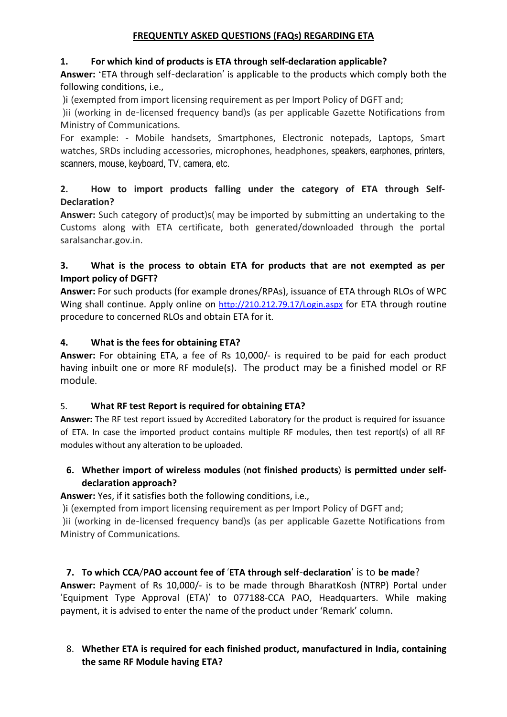#### FREQUENTLY ASKED QUESTIONS (FAQs) REGARDING ETA

### 1. For which kind of products is ETA through self-declaration applicable?

Answer: 'ETA through self-declaration' is applicable to the products which comply both the following conditions, i.e.,

)i (exempted from import licensing requirement as per Import Policy of DGFT and;

)ii (working in de-licensed frequency band)s (as per applicable Gazette Notifications from Ministry of Communications.

For example: - Mobile handsets, Smartphones, Electronic notepads, Laptops, Smart watches, SRDs including accessories, microphones, headphones, speakers, earphones, printers, scanners, mouse, keyboard, TV, camera, etc.

### 2. How to import products falling under the category of ETA through Self-Declaration?

Answer: Such category of product)s( may be imported by submitting an undertaking to the Customs along with ETA certificate, both generated/downloaded through the portal saralsanchar.gov.in.

### 3. What is the process to obtain ETA for products that are not exempted as per Import policy of DGFT?

Answer: For such products (for example drones/RPAs), issuance of ETA through RLOs of WPC Wing shall continue. Apply online on <http://210.212.79.17/Login.aspx> for ETA through routine procedure to concerned RLOs and obtain ETA for it.

#### 4. What is the fees for obtaining ETA?

Answer: For obtaining ETA, a fee of Rs 10,000/- is required to be paid for each product having inbuilt one or more RF module(s). The product may be a finished model or RF module.

## 5. What RF test Report is required for obtaining ETA?

Answer: The RF test report issued by Accredited Laboratory for the product is required for issuance of ETA. In case the imported product contains multiple RF modules, then test report(s) of all RF modules without any alteration to be uploaded.

#### 6. Whether import of wireless modules (not finished products) is permitted under selfdeclaration approach?

Answer: Yes, if it satisfies both the following conditions, i.e.,

)i (exempted from import licensing requirement as per Import Policy of DGFT and;

)ii (working in de-licensed frequency band)s (as per applicable Gazette Notifications from Ministry of Communications.

## 7. To which CCA/PAO account fee of 'ETA through self-declaration' is to be made?

Answer: Payment of Rs 10,000/- is to be made through BharatKosh (NTRP) Portal under 'Equipment Type Approval (ETA)' to 077188-CCA PAO, Headquarters. While making payment, it is advised to enter the name of the product under 'Remark' column.

# 8. Whether ETA is required for each finished product, manufactured in India, containing the same RF Module having ETA?